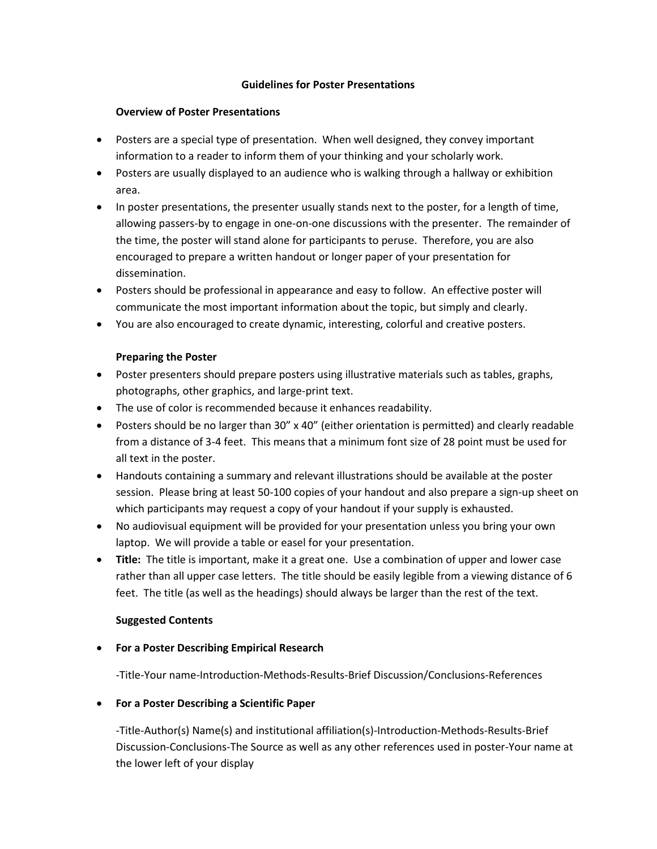### **Guidelines for Poster Presentations**

### **Overview of Poster Presentations**

- Posters are a special type of presentation. When well designed, they convey important information to a reader to inform them of your thinking and your scholarly work.
- Posters are usually displayed to an audience who is walking through a hallway or exhibition area.
- In poster presentations, the presenter usually stands next to the poster, for a length of time, allowing passers-by to engage in one-on-one discussions with the presenter. The remainder of the time, the poster will stand alone for participants to peruse. Therefore, you are also encouraged to prepare a written handout or longer paper of your presentation for dissemination.
- Posters should be professional in appearance and easy to follow. An effective poster will communicate the most important information about the topic, but simply and clearly.
- You are also encouraged to create dynamic, interesting, colorful and creative posters.

### **Preparing the Poster**

- Poster presenters should prepare posters using illustrative materials such as tables, graphs, photographs, other graphics, and large-print text.
- The use of color is recommended because it enhances readability.
- Posters should be no larger than 30" x 40" (either orientation is permitted) and clearly readable from a distance of 3-4 feet. This means that a minimum font size of 28 point must be used for all text in the poster.
- Handouts containing a summary and relevant illustrations should be available at the poster session. Please bring at least 50-100 copies of your handout and also prepare a sign-up sheet on which participants may request a copy of your handout if your supply is exhausted.
- No audiovisual equipment will be provided for your presentation unless you bring your own laptop. We will provide a table or easel for your presentation.
- **Title:** The title is important, make it a great one. Use a combination of upper and lower case rather than all upper case letters. The title should be easily legible from a viewing distance of 6 feet. The title (as well as the headings) should always be larger than the rest of the text.

### **Suggested Contents**

## • **For a Poster Describing Empirical Research**

-Title-Your name-Introduction-Methods-Results-Brief Discussion/Conclusions-References

### • **For a Poster Describing a Scientific Paper**

-Title-Author(s) Name(s) and institutional affiliation(s)-Introduction-Methods-Results-Brief Discussion-Conclusions-The Source as well as any other references used in poster-Your name at the lower left of your display